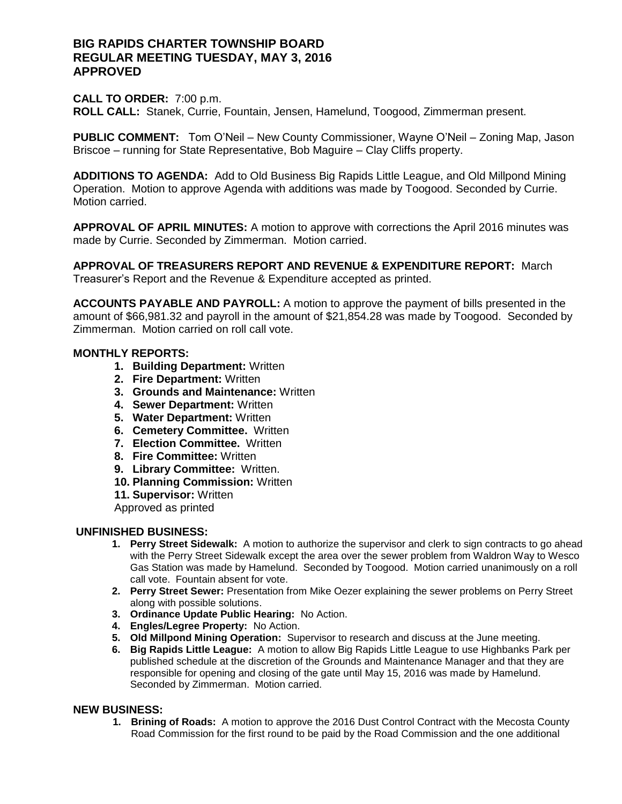## **BIG RAPIDS CHARTER TOWNSHIP BOARD REGULAR MEETING TUESDAY, MAY 3, 2016 APPROVED**

#### **CALL TO ORDER:** 7:00 p.m.

**ROLL CALL:** Stanek, Currie, Fountain, Jensen, Hamelund, Toogood, Zimmerman present.

**PUBLIC COMMENT:** Tom O'Neil – New County Commissioner, Wayne O'Neil – Zoning Map, Jason Briscoe – running for State Representative, Bob Maguire – Clay Cliffs property.

**ADDITIONS TO AGENDA:** Add to Old Business Big Rapids Little League, and Old Millpond Mining Operation. Motion to approve Agenda with additions was made by Toogood. Seconded by Currie. Motion carried.

**APPROVAL OF APRIL MINUTES:** A motion to approve with corrections the April 2016 minutes was made by Currie. Seconded by Zimmerman. Motion carried.

**APPROVAL OF TREASURERS REPORT AND REVENUE & EXPENDITURE REPORT:** March Treasurer's Report and the Revenue & Expenditure accepted as printed.

**ACCOUNTS PAYABLE AND PAYROLL:** A motion to approve the payment of bills presented in the amount of \$66,981.32 and payroll in the amount of \$21,854.28 was made by Toogood. Seconded by Zimmerman. Motion carried on roll call vote.

#### **MONTHLY REPORTS:**

- **1. Building Department:** Written
- **2. Fire Department:** Written
- **3. Grounds and Maintenance:** Written
- **4. Sewer Department:** Written
- **5. Water Department:** Written
- **6. Cemetery Committee.** Written
- **7. Election Committee.** Written
- **8. Fire Committee:** Written
- **9. Library Committee:** Written.
- **10. Planning Commission:** Written
- **11. Supervisor:** Written

Approved as printed

## **UNFINISHED BUSINESS:**

- **1. Perry Street Sidewalk:** A motion to authorize the supervisor and clerk to sign contracts to go ahead with the Perry Street Sidewalk except the area over the sewer problem from Waldron Way to Wesco Gas Station was made by Hamelund. Seconded by Toogood. Motion carried unanimously on a roll call vote. Fountain absent for vote.
- **2. Perry Street Sewer:** Presentation from Mike Oezer explaining the sewer problems on Perry Street along with possible solutions.
- **3. Ordinance Update Public Hearing:** No Action.
- **4. Engles/Legree Property:** No Action.
- **5. Old Millpond Mining Operation:** Supervisor to research and discuss at the June meeting.
- **6. Big Rapids Little League:** A motion to allow Big Rapids Little League to use Highbanks Park per published schedule at the discretion of the Grounds and Maintenance Manager and that they are responsible for opening and closing of the gate until May 15, 2016 was made by Hamelund. Seconded by Zimmerman. Motion carried.

#### **NEW BUSINESS:**

**1. Brining of Roads:** A motion to approve the 2016 Dust Control Contract with the Mecosta County Road Commission for the first round to be paid by the Road Commission and the one additional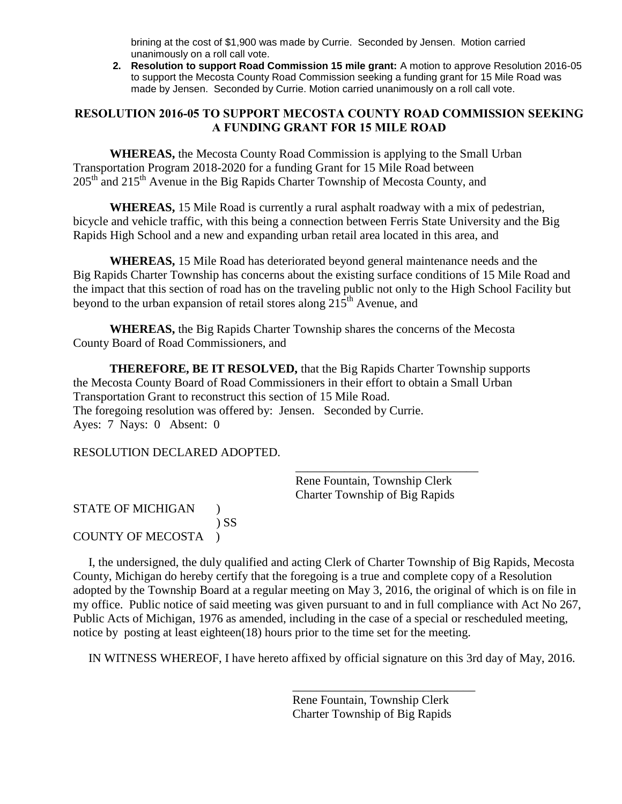brining at the cost of \$1,900 was made by Currie. Seconded by Jensen. Motion carried unanimously on a roll call vote.

**2. Resolution to support Road Commission 15 mile grant:** A motion to approve Resolution 2016-05 to support the Mecosta County Road Commission seeking a funding grant for 15 Mile Road was made by Jensen. Seconded by Currie. Motion carried unanimously on a roll call vote.

# **RESOLUTION 2016-05 TO SUPPORT MECOSTA COUNTY ROAD COMMISSION SEEKING A FUNDING GRANT FOR 15 MILE ROAD**

**WHEREAS,** the Mecosta County Road Commission is applying to the Small Urban Transportation Program 2018-2020 for a funding Grant for 15 Mile Road between  $205<sup>th</sup>$  and  $215<sup>th</sup>$  Avenue in the Big Rapids Charter Township of Mecosta County, and

**WHEREAS,** 15 Mile Road is currently a rural asphalt roadway with a mix of pedestrian, bicycle and vehicle traffic, with this being a connection between Ferris State University and the Big Rapids High School and a new and expanding urban retail area located in this area, and

**WHEREAS,** 15 Mile Road has deteriorated beyond general maintenance needs and the Big Rapids Charter Township has concerns about the existing surface conditions of 15 Mile Road and the impact that this section of road has on the traveling public not only to the High School Facility but beyond to the urban expansion of retail stores along  $215<sup>th</sup>$  Avenue, and

**WHEREAS,** the Big Rapids Charter Township shares the concerns of the Mecosta County Board of Road Commissioners, and

**THEREFORE, BE IT RESOLVED,** that the Big Rapids Charter Township supports the Mecosta County Board of Road Commissioners in their effort to obtain a Small Urban Transportation Grant to reconstruct this section of 15 Mile Road. The foregoing resolution was offered by: Jensen. Seconded by Currie. Ayes: 7 Nays: 0 Absent: 0

 $\overline{\phantom{a}}$  , and the contract of the contract of the contract of the contract of the contract of the contract of the contract of the contract of the contract of the contract of the contract of the contract of the contrac

# RESOLUTION DECLARED ADOPTED.

Rene Fountain, Township Clerk Charter Township of Big Rapids

# STATE OF MICHIGAN ) ) SS COUNTY OF MECOSTA )

 I, the undersigned, the duly qualified and acting Clerk of Charter Township of Big Rapids, Mecosta County, Michigan do hereby certify that the foregoing is a true and complete copy of a Resolution adopted by the Township Board at a regular meeting on May 3, 2016, the original of which is on file in my office. Public notice of said meeting was given pursuant to and in full compliance with Act No 267, Public Acts of Michigan, 1976 as amended, including in the case of a special or rescheduled meeting, notice by posting at least eighteen(18) hours prior to the time set for the meeting.

IN WITNESS WHEREOF, I have hereto affixed by official signature on this 3rd day of May, 2016.

Rene Fountain, Township Clerk Charter Township of Big Rapids

\_\_\_\_\_\_\_\_\_\_\_\_\_\_\_\_\_\_\_\_\_\_\_\_\_\_\_\_\_\_